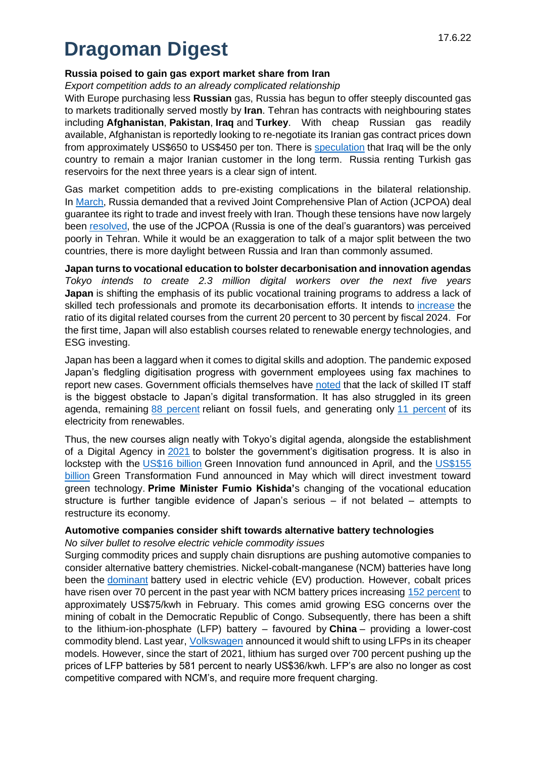# **Dragoman Digest**

## **Russia poised to gain gas export market share from Iran**

*Export competition adds to an already complicated relationship*

With Europe purchasing less **Russian** gas, Russia has begun to offer steeply discounted gas to markets traditionally served mostly by **Iran**. Tehran has contracts with neighbouring states including **Afghanistan**, **Pakistan**, **Iraq** and **Turkey**. With cheap Russian gas readily available, Afghanistan is reportedly looking to re-negotiate its Iranian gas contract prices down from approximately US\$650 to US\$450 per ton. There is speculation that Iraq will be the only country to remain a major Iranian customer in the long term. Russia renting Turkish gas reservoirs for the next three years is a clear sign of intent.

Gas market competition adds to pre-existing complications in the bilateral relationship. In March, Russia demanded that a revived Joint Comprehensive Plan of Action (JCPOA) deal guarantee its right to trade and invest freely with Iran. Though these tensions have now largely been resolved, the use of the JCPOA (Russia is one of the deal's guarantors) was perceived poorly in Tehran. While it would be an exaggeration to talk of a major split between the two countries, there is more daylight between Russia and Iran than commonly assumed.

**Japan turns to vocational education to bolster decarbonisation and innovation agendas** *Tokyo intends to create 2.3 million digital workers over the next five years* **Japan** is shifting the emphasis of its public vocational training programs to address a lack of skilled tech professionals and promote its decarbonisation efforts. It intends to increase the ratio of its digital related courses from the current 20 percent to 30 percent by fiscal 2024. For the first time, Japan will also establish courses related to renewable energy technologies, and ESG investing.

Japan has been a laggard when it comes to digital skills and adoption. The pandemic exposed Japan's fledgling digitisation progress with government employees using fax machines to report new cases. Government officials themselves have noted that the lack of skilled IT staff is the biggest obstacle to Japan's digital transformation. It has also struggled in its green agenda, remaining 88 percent reliant on fossil fuels, and generating only 11 percent of its electricity from renewables.

Thus, the new courses align neatly with Tokyo's digital agenda, alongside the establishment of a Digital Agency in 2021 to bolster the government's digitisation progress. It is also in lockstep with the US\$16 billion Green Innovation fund announced in April, and the US\$155 billion Green Transformation Fund announced in May which will direct investment toward green technology. **Prime Minister Fumio Kishida'**s changing of the vocational education structure is further tangible evidence of Japan's serious – if not belated – attempts to restructure its economy.

### **Automotive companies consider shift towards alternative battery technologies**

*No silver bullet to resolve electric vehicle commodity issues*

Surging commodity prices and supply chain disruptions are pushing automotive companies to consider alternative battery chemistries. Nickel-cobalt-manganese (NCM) batteries have long been the dominant battery used in electric vehicle (EV) production. However, cobalt prices have risen over 70 percent in the past year with NCM battery prices increasing 152 percent to approximately US\$75/kwh in February. This comes amid growing ESG concerns over the mining of cobalt in the Democratic Republic of Congo. Subsequently, there has been a shift to the lithium-ion-phosphate (LFP) battery – favoured by **China** – providing a lower-cost commodity blend. Last year, Volkswagen announced it would shift to using LFPs in its cheaper models. However, since the start of 2021, lithium has surged over 700 percent pushing up the prices of LFP batteries by 581 percent to nearly US\$36/kwh. LFP's are also no longer as cost competitive compared with NCM's, and require more frequent charging.